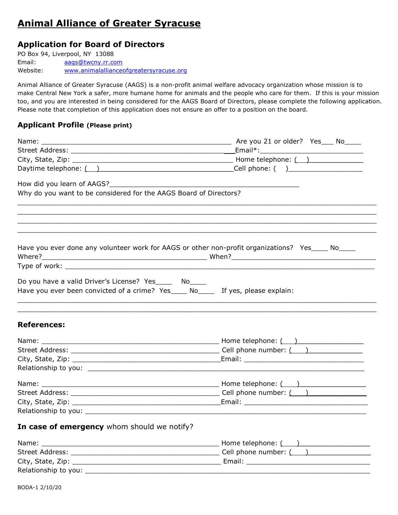# Animal Alliance of Greater Syracuse

## Application for Board of Directors

PO Box 94, Liverpool, NY 13088 Email: aags@twcny.rr.com Website: www.animalallianceofgreatersyracuse.org

Animal Alliance of Greater Syracuse (AAGS) is a non-profit animal welfare advocacy organization whose mission is to make Central New York a safer, more humane home for animals and the people who care for them. If this is your mission too, and you are interested in being considered for the AAGS Board of Directors, please complete the following application. Please note that completion of this application does not ensure an offer to a position on the board.

#### Applicant Profile (Please print)

|                                                                                                                                            | City, State, Zip: $\frac{1}{2}$ Mone telephone: $\frac{1}{2}$ Mone telephone: $\frac{1}{2}$                                                                                                                                    |
|--------------------------------------------------------------------------------------------------------------------------------------------|--------------------------------------------------------------------------------------------------------------------------------------------------------------------------------------------------------------------------------|
|                                                                                                                                            | Daytime telephone: ( ) and the contract of the Cell phone: ( ) and the contract of the Cell phone: ( ) and the contract of the contract of the contract of the contract of the contract of the contract of the contract of the |
| How did you learn of AAGS?<br>Management of AAGS?                                                                                          |                                                                                                                                                                                                                                |
| Why do you want to be considered for the AAGS Board of Directors?                                                                          |                                                                                                                                                                                                                                |
|                                                                                                                                            |                                                                                                                                                                                                                                |
|                                                                                                                                            | Have you ever done any volunteer work for AAGS or other non-profit organizations? Yes____ No____                                                                                                                               |
|                                                                                                                                            |                                                                                                                                                                                                                                |
| Do you have a valid Driver's License? Yes______ No_____<br>Have you ever been convicted of a crime? Yes____ No____ If yes, please explain: |                                                                                                                                                                                                                                |
| <b>References:</b>                                                                                                                         |                                                                                                                                                                                                                                |
|                                                                                                                                            |                                                                                                                                                                                                                                |
|                                                                                                                                            |                                                                                                                                                                                                                                |
|                                                                                                                                            |                                                                                                                                                                                                                                |
|                                                                                                                                            |                                                                                                                                                                                                                                |
|                                                                                                                                            |                                                                                                                                                                                                                                |
|                                                                                                                                            |                                                                                                                                                                                                                                |
|                                                                                                                                            |                                                                                                                                                                                                                                |
|                                                                                                                                            |                                                                                                                                                                                                                                |
| In case of emergency whom should we notify?                                                                                                |                                                                                                                                                                                                                                |
|                                                                                                                                            |                                                                                                                                                                                                                                |
|                                                                                                                                            |                                                                                                                                                                                                                                |
|                                                                                                                                            |                                                                                                                                                                                                                                |

Relationship to you: \_\_\_\_\_\_\_\_\_\_\_\_\_\_\_\_\_\_\_\_\_\_\_\_\_\_\_\_\_\_\_\_\_\_\_\_\_\_\_\_\_\_\_\_\_\_\_\_\_\_\_\_\_\_\_\_\_\_\_\_\_\_\_\_\_\_\_\_\_